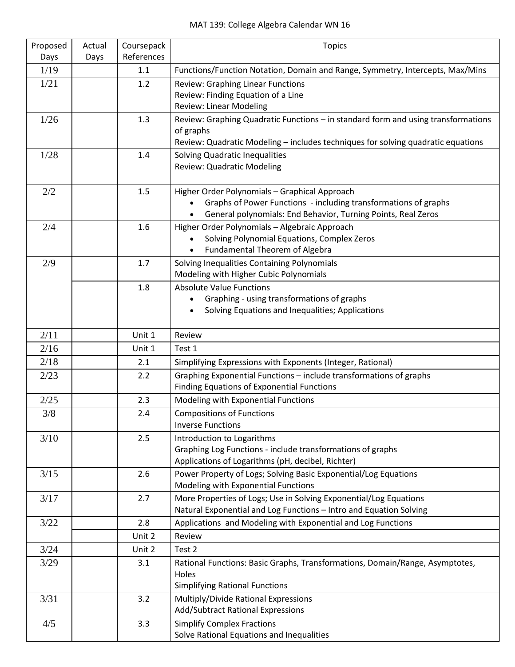| Proposed<br>Days | Actual<br>Days | Coursepack<br>References | <b>Topics</b>                                                                                                                                                                                  |
|------------------|----------------|--------------------------|------------------------------------------------------------------------------------------------------------------------------------------------------------------------------------------------|
| 1/19             |                | 1.1                      | Functions/Function Notation, Domain and Range, Symmetry, Intercepts, Max/Mins                                                                                                                  |
| 1/21             |                | 1.2                      | <b>Review: Graphing Linear Functions</b><br>Review: Finding Equation of a Line<br><b>Review: Linear Modeling</b>                                                                               |
| 1/26             |                | 1.3                      | Review: Graphing Quadratic Functions - in standard form and using transformations<br>of graphs<br>Review: Quadratic Modeling - includes techniques for solving quadratic equations             |
| 1/28             |                | 1.4                      | Solving Quadratic Inequalities<br><b>Review: Quadratic Modeling</b>                                                                                                                            |
| 2/2              |                | 1.5                      | Higher Order Polynomials - Graphical Approach<br>Graphs of Power Functions - including transformations of graphs<br>$\bullet$<br>General polynomials: End Behavior, Turning Points, Real Zeros |
| 2/4              |                | 1.6                      | Higher Order Polynomials - Algebraic Approach<br>Solving Polynomial Equations, Complex Zeros<br>Fundamental Theorem of Algebra<br>$\bullet$                                                    |
| 2/9              |                | 1.7                      | Solving Inequalities Containing Polynomials<br>Modeling with Higher Cubic Polynomials                                                                                                          |
|                  |                | 1.8                      | <b>Absolute Value Functions</b><br>Graphing - using transformations of graphs<br>$\bullet$<br>Solving Equations and Inequalities; Applications                                                 |
| 2/11             |                | Unit 1                   | Review                                                                                                                                                                                         |
| 2/16             |                | Unit 1                   | Test 1                                                                                                                                                                                         |
| 2/18             |                | 2.1                      | Simplifying Expressions with Exponents (Integer, Rational)                                                                                                                                     |
| 2/23             |                | 2.2                      | Graphing Exponential Functions - include transformations of graphs<br>Finding Equations of Exponential Functions                                                                               |
| 2/25             |                | 2.3                      | Modeling with Exponential Functions                                                                                                                                                            |
| 3/8              |                | 2.4                      | <b>Compositions of Functions</b><br><b>Inverse Functions</b>                                                                                                                                   |
| $3/10$           |                | 2.5                      | Introduction to Logarithms<br>Graphing Log Functions - include transformations of graphs<br>Applications of Logarithms (pH, decibel, Richter)                                                  |
| 3/15             |                | 2.6                      | Power Property of Logs; Solving Basic Exponential/Log Equations<br>Modeling with Exponential Functions                                                                                         |
| 3/17             |                | 2.7                      | More Properties of Logs; Use in Solving Exponential/Log Equations<br>Natural Exponential and Log Functions - Intro and Equation Solving                                                        |
| 3/22             |                | 2.8                      | Applications and Modeling with Exponential and Log Functions                                                                                                                                   |
|                  |                | Unit 2                   | Review                                                                                                                                                                                         |
| 3/24             |                | Unit 2                   | Test 2                                                                                                                                                                                         |
| 3/29             |                | 3.1                      | Rational Functions: Basic Graphs, Transformations, Domain/Range, Asymptotes,<br>Holes<br><b>Simplifying Rational Functions</b>                                                                 |
| 3/31             |                | 3.2                      | Multiply/Divide Rational Expressions<br>Add/Subtract Rational Expressions                                                                                                                      |
| 4/5              |                | 3.3                      | <b>Simplify Complex Fractions</b><br>Solve Rational Equations and Inequalities                                                                                                                 |